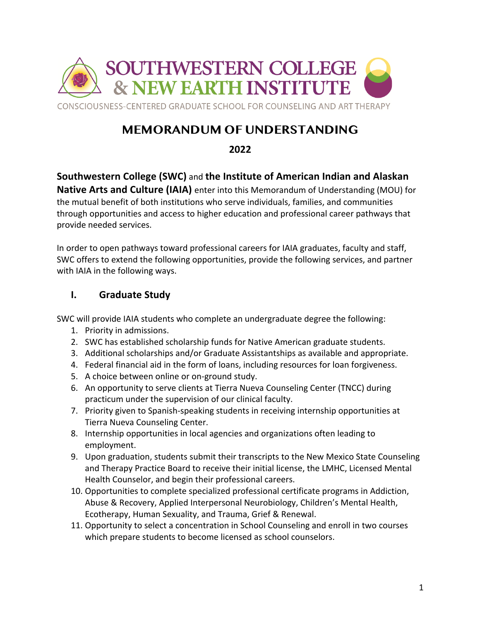

# **MEMORANDUM OF UNDERSTANDING**

**2022**

**Southwestern College (SWC)** and **the Institute of American Indian and Alaskan Native Arts and Culture (IAIA)** enter into this Memorandum of Understanding (MOU) for

the mutual benefit of both institutions who serve individuals, families, and communities through opportunities and access to higher education and professional career pathways that provide needed services.

In order to open pathways toward professional careers for IAIA graduates, faculty and staff, SWC offers to extend the following opportunities, provide the following services, and partner with IAIA in the following ways.

## **I. Graduate Study**

SWC will provide IAIA students who complete an undergraduate degree the following:

- 1. Priority in admissions.
- 2. SWC has established scholarship funds for Native American graduate students.
- 3. Additional scholarships and/or Graduate Assistantships as available and appropriate.
- 4. Federal financial aid in the form of loans, including resources for loan forgiveness.
- 5. A choice between online or on-ground study.
- 6. An opportunity to serve clients at Tierra Nueva Counseling Center (TNCC) during practicum under the supervision of our clinical faculty.
- 7. Priority given to Spanish-speaking students in receiving internship opportunities at Tierra Nueva Counseling Center.
- 8. Internship opportunities in local agencies and organizations often leading to employment.
- 9. Upon graduation, students submit their transcripts to the New Mexico State Counseling and Therapy Practice Board to receive their initial license, the LMHC, Licensed Mental Health Counselor, and begin their professional careers.
- 10. Opportunities to complete specialized professional certificate programs in Addiction, Abuse & Recovery, Applied Interpersonal Neurobiology, Children's Mental Health, Ecotherapy, Human Sexuality, and Trauma, Grief & Renewal.
- 11. Opportunity to select a concentration in School Counseling and enroll in two courses which prepare students to become licensed as school counselors.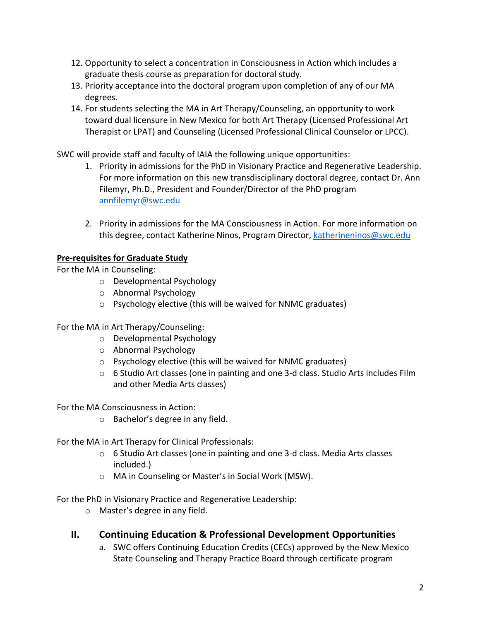- 12. Opportunity to select a concentration in Consciousness in Action which includes a graduate thesis course as preparation for doctoral study.
- 13. Priority acceptance into the doctoral program upon completion of any of our MA degrees.
- 14. For students selecting the MA in Art Therapy/Counseling, an opportunity to work toward dual licensure in New Mexico for both Art Therapy (Licensed Professional Art Therapist or LPAT) and Counseling (Licensed Professional Clinical Counselor or LPCC).

SWC will provide staff and faculty of IAIA the following unique opportunities:

- 1. Priority in admissions for the PhD in Visionary Practice and Regenerative Leadership. For more information on this new transdisciplinary doctoral degree, contact Dr. Ann Filemyr, Ph.D., President and Founder/Director of the PhD program annfilemyr@swc.edu
- 2. Priority in admissions for the MA Consciousness in Action. For more information on this degree, contact Katherine Ninos, Program Director, katherineninos@swc.edu

### **Pre-requisites for Graduate Study**

For the MA in Counseling:

- o Developmental Psychology
- o Abnormal Psychology
- o Psychology elective (this will be waived for NNMC graduates)

For the MA in Art Therapy/Counseling:

- o Developmental Psychology
- o Abnormal Psychology
- o Psychology elective (this will be waived for NNMC graduates)
- $\circ$  6 Studio Art classes (one in painting and one 3-d class. Studio Arts includes Film and other Media Arts classes)

For the MA Consciousness in Action:

o Bachelor's degree in any field.

For the MA in Art Therapy for Clinical Professionals:

- o 6 Studio Art classes (one in painting and one 3-d class. Media Arts classes included.)
- o MA in Counseling or Master's in Social Work (MSW).

For the PhD in Visionary Practice and Regenerative Leadership:

o Master's degree in any field.

## **II. Continuing Education & Professional Development Opportunities**

a. SWC offers Continuing Education Credits (CECs) approved by the New Mexico State Counseling and Therapy Practice Board through certificate program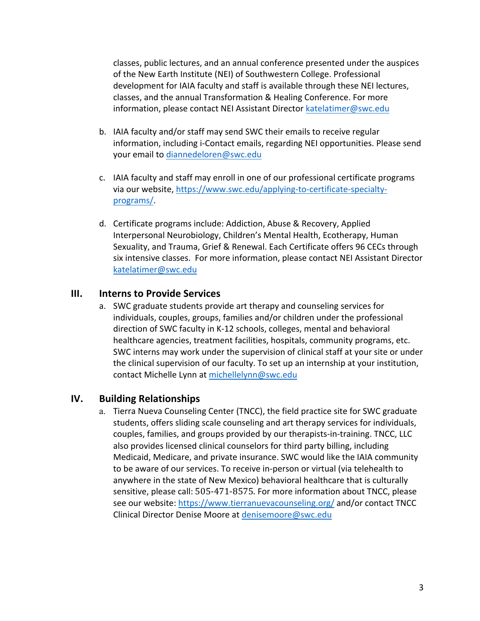classes, public lectures, and an annual conference presented under the auspices of the New Earth Institute (NEI) of Southwestern College. Professional development for IAIA faculty and staff is available through these NEI lectures, classes, and the annual Transformation & Healing Conference. For more information, please contact NEI Assistant Director katelatimer@swc.edu

- b. IAIA faculty and/or staff may send SWC their emails to receive regular information, including i-Contact emails, regarding NEI opportunities. Please send your email to diannedeloren@swc.edu
- c. IAIA faculty and staff may enroll in one of our professional certificate programs via our website, https://www.swc.edu/applying-to-certificate-specialtyprograms/.
- d. Certificate programs include: Addiction, Abuse & Recovery, Applied Interpersonal Neurobiology, Children's Mental Health, Ecotherapy, Human Sexuality, and Trauma, Grief & Renewal. Each Certificate offers 96 CECs through six intensive classes. For more information, please contact NEI Assistant Director katelatimer@swc.edu

#### **III. Interns to Provide Services**

a. SWC graduate students provide art therapy and counseling services for individuals, couples, groups, families and/or children under the professional direction of SWC faculty in K-12 schools, colleges, mental and behavioral healthcare agencies, treatment facilities, hospitals, community programs, etc. SWC interns may work under the supervision of clinical staff at your site or under the clinical supervision of our faculty. To set up an internship at your institution, contact Michelle Lynn at michellelynn@swc.edu

#### **IV. Building Relationships**

a. Tierra Nueva Counseling Center (TNCC), the field practice site for SWC graduate students, offers sliding scale counseling and art therapy services for individuals, couples, families, and groups provided by our therapists-in-training. TNCC, LLC also provides licensed clinical counselors for third party billing, including Medicaid, Medicare, and private insurance. SWC would like the IAIA community to be aware of our services. To receive in-person or virtual (via telehealth to anywhere in the state of New Mexico) behavioral healthcare that is culturally sensitive, please call: 505-471-8575. For more information about TNCC, please see our website: https://www.tierranuevacounseling.org/ and/or contact TNCC Clinical Director Denise Moore at denisemoore@swc.edu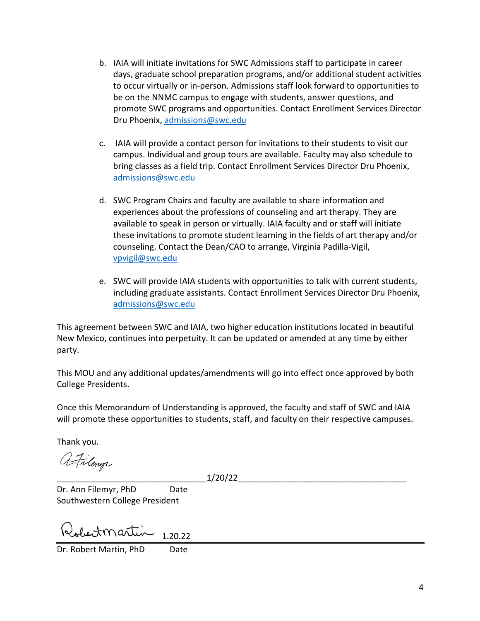- b. IAIA will initiate invitations for SWC Admissions staff to participate in career days, graduate school preparation programs, and/or additional student activities to occur virtually or in-person. Admissions staff look forward to opportunities to be on the NNMC campus to engage with students, answer questions, and promote SWC programs and opportunities. Contact Enrollment Services Director Dru Phoenix, admissions@swc.edu
- c. IAIA will provide a contact person for invitations to their students to visit our campus. Individual and group tours are available. Faculty may also schedule to bring classes as a field trip. Contact Enrollment Services Director Dru Phoenix, admissions@swc.edu
- d. SWC Program Chairs and faculty are available to share information and experiences about the professions of counseling and art therapy. They are available to speak in person or virtually. IAIA faculty and or staff will initiate these invitations to promote student learning in the fields of art therapy and/or counseling. Contact the Dean/CAO to arrange, Virginia Padilla-Vigil, vpvigil@swc.edu
- e. SWC will provide IAIA students with opportunities to talk with current students, including graduate assistants. Contact Enrollment Services Director Dru Phoenix, admissions@swc.edu

This agreement between SWC and IAIA, two higher education institutions located in beautiful New Mexico, continues into perpetuity. It can be updated or amended at any time by either party.

This MOU and any additional updates/amendments will go into effect once approved by both College Presidents.

Once this Memorandum of Understanding is approved, the faculty and staff of SWC and IAIA will promote these opportunities to students, staff, and faculty on their respective campuses.

Thank you.

afilony

\_\_\_\_\_\_\_\_\_\_\_\_\_\_\_\_\_\_\_\_\_\_\_\_\_\_\_\_\_\_\_\_1/20/22\_\_\_\_\_\_\_\_\_\_\_\_\_\_\_\_\_\_\_\_\_\_\_\_\_\_\_\_\_\_\_\_\_\_\_\_

Dr. Ann Filemyr, PhD Date Southwestern College President

obertmartin 1.20.22

Dr. Robert Martin, PhD Date